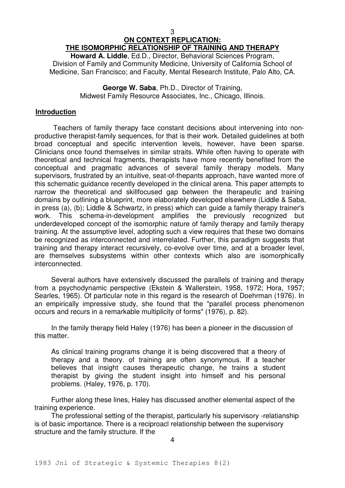## 3 **ON CONTEXT REPLICATION: THE ISOMORPHIC RELATIONSHIP OF TRAINING AND THERAPY**

**Howard A. Liddle**, Ed.D., Director, Behavioral Sciences Program, Division of Family and Community Medicine, University of California School of Medicine, San Francisco; and Faculty, Mental Research Institute, Palo Alto, CA.

> **George W. Saba**, Ph.D., Director of Training, Midwest Family Resource Associates, Inc., Chicago, Illinois.

## **Introduction**

Teachers of family therapy face constant decisions about intervening into nonproductive therapist-family sequences, for that is their work. Detailed guidelines at both broad conceptual and specific intervention levels, however, have been sparse. Clinicians once found themselves in similar straits. While often having to operate with theoretical and technical fragments, therapists have more recently benefited from the conceptual and pragmatic advances of several family therapy models. Many supervisors, frustrated by an intuitive, seat-of-thepants approach, have wanted more of this schematic guidance recently developed in the clinical arena. This paper attempts to narrow the theoretical and skillfocused gap between the therapeutic and training domains by outlining a blueprint, more elaborately developed elsewhere (Liddle & Saba, in press (a), (b); Liddle & Schwartz, in press) which can guide a family therapy trainer's work. This schema-in-development amplifies the previously recognized but underdeveloped concept of the isomorphic nature of family therapy and family therapy training. At the assumptive level, adopting such a view requires that these two domains be recognized as interconnected and interrelated. Further, this paradigm suggests that training and therapy interact recursively, co-evolve over time, and at a broader level, are themselves subsystems within other contexts which also are isomorphically interconnected.

Several authors have extensively discussed the parallels of training and therapy from a psychodynamic perspective (Ekstein & Wallerstein, 1958, 1972; Hora, 1957; Searles, 1965). Of particular note in this regard is the research of Doehrman (1976). In an empirically impressive study, she found that the "parallel process phenomenon occurs and recurs in a remarkable multiplicity of forms" (1976), p. 82).

In the family therapy field Haley (1976) has been a pioneer in the discussion of this matter.

As clinical training programs change it is being discovered that a theory of therapy and a theory. of training are often synonymous. If a teacher believes that insight causes therapeutic change, he trains a student therapist by giving the student insight into himself and his personal problems. (Haley, 1976, p. 170).

Further along these lines, Haley has discussed another elemental aspect of the training experience.

The professional setting of the therapist, particularly his supervisory -relatianship is of basic importance. There is a reciproacl relationship between the supervisory structure and the family structure. If the

4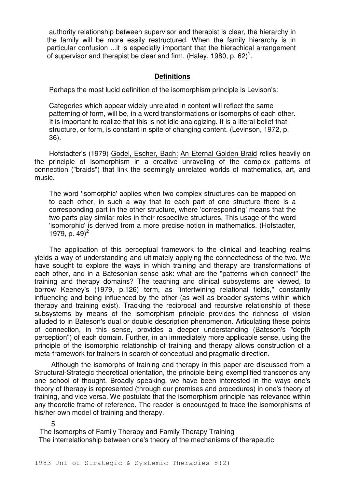authority relationship between supervisor and therapist is clear, the hierarchy in the family will be more easily restructured. When the family hierarchy is in particular confusion ...it is especially important that the hierachical arrangement of supervisor and therapist be clear and firm. (Haley, 1980, p. 62)<sup>1</sup>.

# **Definitions**

Perhaps the most lucid definition of the isomorphism principle is Levison's:

Categories which appear widely unrelated in content will reflect the same patterning of form, will be, in a word transformations or isomorphs of each other. It is important to realize that this is not idle analogizing. It is a literal belief that structure, or form, is constant in spite of changing content. (Levinson, 1972, p. 36).

Hofstadter's (1979) Godel, Escher, Bach: An Eternal Golden Braid relies heavily on the principle of isomorphism in a creative unraveling of the complex patterns of connection ("braids") that link the seemingly unrelated worlds of mathematics, art, and music.

The word 'isomorphic' applies when two complex structures can be mapped on to each other, in such a way that to each part of one structure there is a corresponding part in the other structure, where 'corresponding' means that the two parts play similar roles in their respective structures. This usage of the word 'isomorphic' is derived from a more precise notion in mathematics. (Hofstadter, 1979, p.  $49)^2$ 

The application of this perceptual framework to the clinical and teaching realms yields a way of understanding and ultimately applying the connectedness of the two. We have sought to explore the ways in which training and therapy are transformations of each other, and in a Batesonian sense ask: what are the "patterns which connect" the training and therapy domains? The teaching and clinical subsystems are viewed, to borrow Keeney's (1979, p.126) term, as "intertwining relational fields," constantly influencing and being influenced by the other (as well as broader systems within which therapy and training exist). Tracking the reciprocal and recursive relationship of these subsystems by means of the isomorphism principle provides the richness of vision alluded to in Bateson's dual or double description phenomenon. Articulating these points of connection, in this sense, provides a deeper understanding (Bateson's "depth perception") of each domain. Further, in an immediately more applicable sense, using the principle of the isomorphic relationship of training and therapy allows construction of a meta-framework for trainers in search of conceptual and pragmatic direction.

Although the isomorphs of training and therapy in this paper are discussed from a Structural-Strategic theoretical orientation, the principle being exemplified transcends any one school of thought. Broadly speaking, we have been interested in the ways one's theory of therapy is represented (through our premises and procedures) in one's theory of training, and vice versa. We postulate that the isomorphism principle has relevance within any theoretic frame of reference. The reader is encouraged to trace the isomorphisms of his/her own model of training and therapy.

#### 5

The Isomorphs of Family Therapy and Family Therapy Training The interrelationship between one's theory of the mechanisms of therapeutic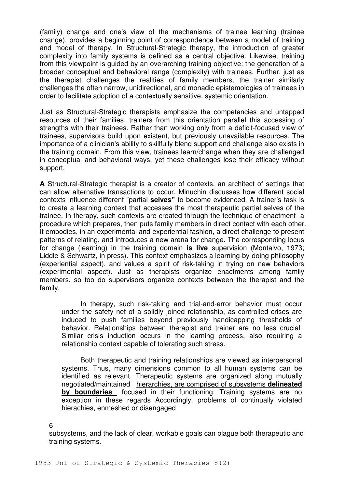(family) change and one's view of the mechanisms of trainee learning (trainee change), provides a beginning point of correspondence between a model of training and model of therapy. In Structural-Strategic therapy, the introduction of greater complexity into family systems is defined as a central objective. Likewise, training from this viewpoint is guided by an overarching training objective: the generation of a broader conceptual and behavioral range (complexity) with trainees. Further, just as the therapist challenges the realities of family members, the trainer similarly challenges the often narrow, unidirectional, and monadic epistemologies of trainees in order to facilitate adoption of a contextually sensitive, systemic orientation.

Just as Structural-Strategic therapists emphasize the competencies and untapped resources of their families, trainers from this orientation parallel this accessing of strengths with their trainees. Rather than working only from a deficit-focused view of trainees, supervisors build upon existent, but previously unavailable resources. The importance of a clinician's ability to skillfully blend support and challenge also exists in the training domain. From this view, trainees learn/change when they are challenged in conceptual and behavioral ways, yet these challenges lose their efficacy without support.

**A** Structural-Strategic therapist is a creator of contexts, an architect of settings that can allow alternative transactions to occur. Minuchin discusses how different social contexts influence different "partial **selves"** to become evidenced. A trainer's task is to create a learning context that accesses the most therapeutic partial selves of the trainee. In therapy, such contexts are created through the technique of enactment--a procedure which prepares, then puts family members in direct contact with each other. It embodies, in an experimental and experiential fashion, a direct challenge to present patterns of relating, and introduces a new arena for change. The corresponding locus for change (learning) in the training domain **is live** supervision (Montalvo, 1973; Liddle & Schwartz, in press). This context emphasizes a learning-by-doing philosophy (experiential aspect), and values a spirit of risk-taking in trying on new behaviors (experimental aspect). Just as therapists organize enactments among family members, so too do supervisors organize contexts between the therapist and the family.

In therapy, such risk-taking and trial-and-error behavior must occur under the safety net of a solidly joined relationship, as controlled crises are induced to push families beyond previously handicapping thresholds of behavior. Relationships between therapist and trainer are no less crucial. Similar crisis induction occurs in the learning process, also requiring a relationship context capable of tolerating such stress.

Both therapeutic and training relationships are viewed as interpersonal systems. Thus, many dimensions common to all human systems can be identified as relevant. Therapeutic systems are organized along mutually negotiated/maintained hierarchies, are comprised of subsystems **delineated by boundaries** focused in their functioning. Training systems are no exception in these regards Accordingly, problems of continually violated hierachies, enmeshed or disengaged

#### 6

subsystems, and the lack of clear, workable goals can plague both therapeutic and training systems.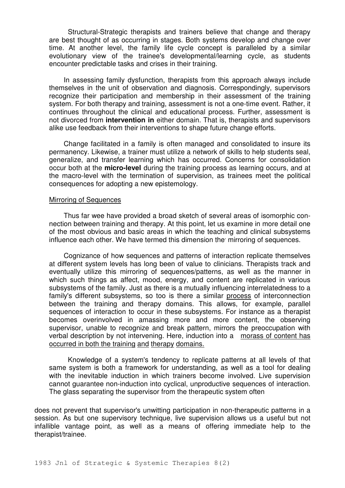Structural-Strategic therapists and trainers believe that change and therapy are best thought of as occurring in stages. Both systems develop and change over time. At another level, the family life cycle concept is paralleled by a similar evolutionary view of the trainee's developmental/learning cycle, as students encounter predictable tasks and crises in their training.

In assessing family dysfunction, therapists from this approach always include themselves in the unit of observation and diagnosis. Correspondingly, supervisors recognize their participation and membership in their assessment of the training system. For both therapy and training, assessment is not a one-time event. Rather, it continues throughout the clinical and educational process. Further, assessment is not divorced from **intervention in** either domain. That is, therapists and supervisors alike use feedback from their interventions to shape future change efforts.

Change facilitated in a family is often managed and consolidated to insure its permanency. Likewise, a trainer must utilize a network of skills to help students seal, generalize, and transfer learning which has occurred. Concerns for consolidation occur both at the **micro-level** during the training process as learning occurs, and at the macro-level with the termination of supervision, as trainees meet the political consequences for adopting a new epistemology.

## Mirroring of Sequences

Thus far wee have provided a broad sketch of several areas of isomorphic connection between training and therapy. At this point, let us examine in more detail one of the most obvious and basic areas in which the teaching and clinical subsystems influence each other. We have termed this dimension the mirroring of sequences.

Cognizance of how sequences and patterns of interaction replicate themselves at different system levels has long been of value to clinicians. Therapists track and eventually utilize this mirroring of sequences/patterns, as well as the manner in which such things as affect, mood, energy, and content are replicated in various subsystems of the family. Just as there is a mutually influencing interrelatedness to a family's different subsystems, so too is there a similar process of interconnection between the training and therapy domains. This allows, for example, parallel sequences of interaction to occur in these subsystems. For instance as a therapist becomes overinvolved in amassing more and more content, the observing supervisor, unable to recognize and break pattern, mirrors the preoccupation with verbal description by not intervening. Here, induction into a morass of content has occurred in both the training and therapy domains.

Knowledge of a system's tendency to replicate patterns at all levels of that same system is both a framework for understanding, as well as a tool for dealing with the inevitable induction in which trainers become involved. Live supervision cannot guarantee non-induction into cyclical, unproductive sequences of interaction. The glass separating the supervisor from the therapeutic system often

does not prevent that supervisor's unwitting participation in non-therapeutic patterns in a session. As but one supervisory technique, live supervision allows us a useful but not infallible vantage point, as well as a means of offering immediate help to the therapist/trainee.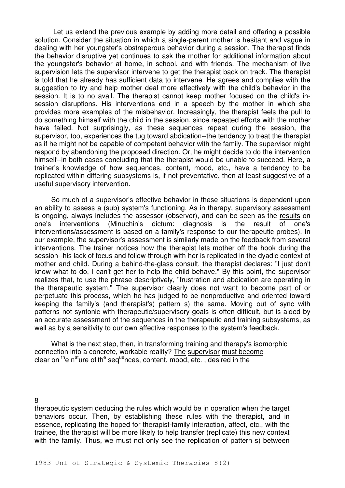Let us extend the previous example by adding more detail and offering a possible solution. Consider the situation in which a single-parent mother is hesitant and vague in dealing with her youngster's obstreperous behavior during a session. The therapist finds the behavior disruptive yet continues to ask the mother for additional information about the youngster's behavior at home, in school, and with friends. The mechanism of live supervision lets the supervisor intervene to get the therapist back on track. The therapist is told that he already has sufficient data to intervene. He agrees and complies with the suggestion to try and help mother deal more effectively with the child's behavior in the session. It is to no avail. The therapist cannot keep mother focused on the child's insession disruptions. His interventions end in a speech by the mother in which she provides more examples of the misbehavior. Increasingly, the therapist feels the pull to do something himself with the child in the session, since repeated efforts with the mother have failed. Not surprisingly, as these sequences repeat during the session, the supervisor, too, experiences the tug toward abdication--the tendency to treat the therapist as if he might not be capable of competent behavior with the family. The supervisor might respond by abandoning the proposed direction. Or, he might decide to do the intervention himself--in both cases concluding that the therapist would be unable to succeed. Here, a trainer's knowledge of how sequences, content, mood, etc., have a tendency to be replicated within differing subsystems is, if not preventative, then at least suggestive of a useful supervisory intervention.

So much of a supervisor's effective behavior in these situations is dependent upon an ability to assess a (sub) system's functioning. As in therapy, supervisory assessment is ongoing, always includes the assessor (observer), and can be seen as the results on one's interventions (Minuchin's dictum: diagnosis is the result of one's interventions/assessment is based on a family's response to our therapeutic probes). In our example, the supervisor's assessment is similarly made on the feedback from several interventions. The trainer notices how the therapist lets mother off the hook during the session--his lack of focus and follow-through with her is replicated in the dyadic context of mother and child. During a behind-the-glass consult, the therapist declares: "I just don't know what to do, I can't get her to help the child behave." By this point, the supervisor realizes that, to use the phrase descriptively, "frustration and abdication are operating in the therapeutic system." The supervisor clearly does not want to become part of or perpetuate this process, which he has judged to be nonproductive and oriented toward keeping the family's (and therapist's) pattern s) the same. Moving out of sync with patterns not syntonic with therapeutic/supervisory goals is often difficult, but is aided by an accurate assessment of the sequences in the therapeutic and training subsystems, as well as by a sensitivity to our own affective responses to the system's feedback.

What is the next step, then, in transforming training and therapy's isomorphic connection into a concrete, workable reality? The supervisor must become clear on <sup>th</sup>e n<sup>at</sup>ure of th<sup>e</sup> seq<sup>ue</sup>nces, content, mood, etc., desired in the

8

therapeutic system deducing the rules which would be in operation when the target behaviors occur. Then, by establishing these rules with the therapist, and in essence, replicating the hoped for therapist-family interaction, affect, etc., with the trainee, the therapist will be more likely to help transfer (replicate) this new context with the family. Thus, we must not only see the replication of pattern s) between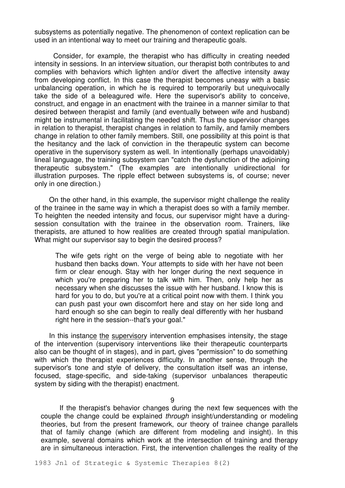subsystems as potentially negative. The phenomenon of context replication can be used in an intentional way to meet our training and therapeutic goals.

Consider, for example, the therapist who has difficulty in creating needed intensity in sessions. In an interview situation, our therapist both contributes to and complies with behaviors which lighten and/or divert the affective intensity away from developing conflict. In this case the therapist becomes uneasy with a basic unbalancing operation, in which he is required to temporarily but unequivocally take the side of a beleagured wife. Here the supervisor's ability to conceive, construct, and engage in an enactment with the trainee in a manner similar to that desired between therapist and family (and eventually between wife and husband) might be instrumental in facilitating the needed shift. Thus the supervisor changes in relation to therapist, therapist changes in relation to family, and family members change in relation to other family members. Still, one possibility at this point is that the hesitancy and the lack of conviction in the therapeutic system can become operative in the supervisory system as well. In intentionally (perhaps unavoidably) lineal language, the training subsystem can "catch the dysfunction of the adjoining therapeutic subsystem." (The examples are intentionally unidirectional for illustration purposes. The ripple effect between subsystems is, of course; never only in one direction.)

On the other hand, in this example, the supervisor might challenge the reality of the trainee in the same way in which a therapist does so with a family member. To heighten the needed intensity and focus, our supervisor might have a duringsession consultation with the trainee in the observation room. Trainers, like therapists, are attuned to how realities are created through spatial manipulation. What might our supervisor say to begin the desired process?

The wife gets right on the verge of being able to negotiate with her husband then backs down. Your attempts to side with her have not been firm or clear enough. Stay with her longer during the next sequence in which you're preparing her to talk with him. Then, only help her as necessary when she discusses the issue with her husband. I know this is hard for you to do, but you're at a critical point now with them. I think you can push past your own discomfort here and stay on her side long and hard enough so she can begin to really deal differently with her husband right here in the session--that's your goal."

In this instance the supervisory intervention emphasises intensity, the stage of the intervention (supervisory interventions like their therapeutic counterparts also can be thought of in stages), and in part, gives "permission" to do something with which the therapist experiences difficulty. In another sense, through the supervisor's tone and style of delivery, the consultation itself was an intense, focused, stage-specific, and side-taking (supervisor unbalances therapeutic system by siding with the therapist) enactment.

9

If the therapist's behavior changes during the next few sequences with the couple the change could be explained through insight/understanding or modeling theories, but from the present framework, our theory of trainee change parallels that of family change (which are different from modeling and insight). In this example, several domains which work at the intersection of training and therapy are in simultaneous interaction. First, the intervention challenges the reality of the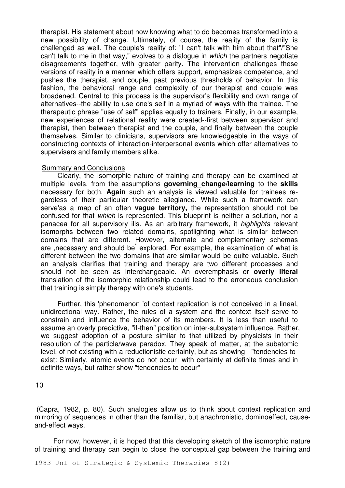therapist. His statement about now knowing what to do becomes transformed into a new possibility of change. Ultimately, of course, the reality of the family is challenged as well. The couple's reality of: "I can't talk with him about that"/"She can't talk to me in that way," evolves to a dialogue in which the partners negotiate disagreements together, with greater parity. The intervention challenges these versions of reality in a manner which offers support, emphasizes competence, and pushes the therapist, and couple, past previous thresholds of behavior. In this fashion, the behavioral range and complexity of our therapist and couple was broadened. Central to this process is the supervisor's flexibility and own range of alternatives--the ability to use one's self in a myriad of ways with the trainee. The therapeutic phrase "use of self" applies equally to trainers. Finally, in our example, new experiences of relational reality were created--first between supervisor and therapist, then between therapist and the couple, and finally between the couple themselves. Similar to clinicians, supervisors are knowledgeable in the ways of constructing contexts of interaction-interpersonal events which offer alternatives to supervisers and family members alike.

## Summary and Conclusions

Clearly, the isomorphic nature of training and therapy can be examined at multiple levels, from the assumptions **governing change/learning** to the **skills** necessary for both. **Again** such an analysis is viewed valuable for trainees regardless of their particular theoretic allegiance. While such a framework can serve'as a map of an often **vague territory,** the representation should not be confused for that which is represented. This blueprint is neither a solution, nor a panacea for all supervisory ills. As an arbitrary framework, it highlights relevant isomorphs between two related domains, spotlighting what is similar between domains that are different. However, alternate and complementary schemas are ,necessary and should be<sup>\*</sup> explored. For example, the examination of what is different between the two domains that are similar would be quite valuable. Such an analysis clarifies that training and therapy are two different processes and should not be seen as interchangeable. An overemphasis or **overly literal**  translation of the isomorphic relationship could lead to the erroneous conclusion that training is simply therapy with one's students.

Further, this 'phenomenon 'of context replication is not conceived in a lineal, unidirectional way. Rather, the rules of a system and the context itself serve to constrain and influence the behavior of its members. It is less than useful to assume an overly predictive, "if-then" position on inter-subsystem influence. Rather, we suggest adoption of a posture similar to that utilized by physicists in their resolution of the particle/wave paradox. They speak of matter, at the subatomic level, of not existing with a reductionistic certainty, but as showing "tendencies-toexist: Similarly, atomic events do not occur with certainty at definite times and in definite ways, but rather show "tendencies to occur"

10

(Capra, 1982, p. 80). Such analogies allow us to think about context replication and mirroring of sequences in other than the familiar, but anachronistic, dominoeffect, causeand-effect ways.

For now, however, it is hoped that this developing sketch of the isomorphic nature of training and therapy can begin to close the conceptual gap between the training and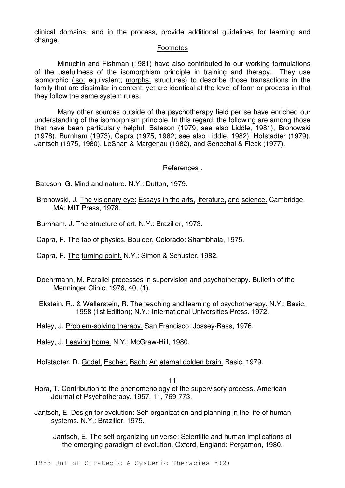clinical domains, and in the process, provide additional guidelines for learning and change.

## **Footnotes**

Minuchin and Fishman (1981) have also contributed to our working formulations of the usefullness of the isomorphism principle in training and therapy. They use isomorphic (iso: equivalent; morphs: structures) to describe those transactions in the family that are dissimilar in content, yet are identical at the level of form or process in that they follow the same system rules.

Many other sources outside of the psychotherapy field per se have enriched our understanding of the isomorphism principle. In this regard, the following are among those that have been particularly helpful: Bateson (1979; see also Liddle, 1981), Bronowski (1978), Burnham (1973), Capra (1975, 1982; see also Liddle, 1982), Hofstadter (1979), Jantsch (1975, 1980), LeShan & Margenau (1982), and Senechal & Fleck (1977).

## References .

Bateson, G. Mind and nature. N.Y.: Dutton, 1979.

- Bronowski, J. The visionary eye: Essays in the arts, literature, and science. Cambridge, MA: MIT Press, 1978.
- Burnham, J. The structure of art. N.Y.: Braziller, 1973.
- Capra, F. The tao of physics. Boulder, Colorado: Shambhala, 1975.
- Capra, F. The turning point. N.Y.: Simon & Schuster, 1982.
- Doehrmann, M. Parallel processes in supervision and psychotherapy. Bulletin of the Menninger Clinic, 1976, 40, (1).
- Ekstein, R., & Wallerstein, R. The teaching and learning of psychotherapy. N.Y.: Basic, 1958 (1st Edition); N.Y.: International Universities Press, 1972.
- Haley, J. Problem-solving therapy. San Francisco: Jossey-Bass, 1976.
- Haley, J. Leaving home. N.Y.: McGraw-Hill, 1980.

Hofstadter, D. Godel, Escher, Bach: An eternal golden brain. Basic, 1979.

11

- Hora, T. Contribution to the phenomenology of the supervisory process. American Journal of Psychotherapy, 1957, 11, 769-773.
- Jantsch, E. Design for evolution: Self-organization and planning in the life of human systems. N.Y.: Braziller, 1975.

Jantsch, E. The self-organizing universe: Scientific and human implications of the emerging paradigm of evolution. Oxford, England: Pergamon, 1980.